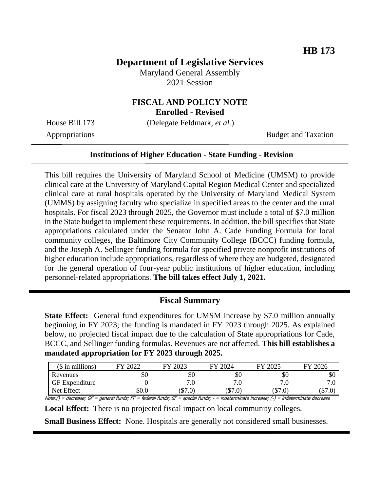# **Department of Legislative Services**

Maryland General Assembly 2021 Session

# **FISCAL AND POLICY NOTE**

**Enrolled - Revised**

House Bill 173 (Delegate Feldmark, *et al.*)

Appropriations Budget and Taxation

#### **Institutions of Higher Education - State Funding - Revision**

This bill requires the University of Maryland School of Medicine (UMSM) to provide clinical care at the University of Maryland Capital Region Medical Center and specialized clinical care at rural hospitals operated by the University of Maryland Medical System (UMMS) by assigning faculty who specialize in specified areas to the center and the rural hospitals. For fiscal 2023 through 2025, the Governor must include a total of \$7.0 million in the State budget to implement these requirements. In addition, the bill specifies that State appropriations calculated under the Senator John A. Cade Funding Formula for local community colleges, the Baltimore City Community College (BCCC) funding formula, and the Joseph A. Sellinger funding formula for specified private nonprofit institutions of higher education include appropriations, regardless of where they are budgeted, designated for the general operation of four-year public institutions of higher education, including personnel-related appropriations. **The bill takes effect July 1, 2021.**

#### **Fiscal Summary**

**State Effect:** General fund expenditures for UMSM increase by \$7.0 million annually beginning in FY 2023; the funding is mandated in FY 2023 through 2025. As explained below, no projected fiscal impact due to the calculation of State appropriations for Cade, BCCC, and Sellinger funding formulas. Revenues are not affected. **This bill establishes a mandated appropriation for FY 2023 through 2025.**

| $($$ in millions)                                                                                                                        | FY 2022 | FY 2023 | FY 2024 | FY 2025 | FY 2026 |
|------------------------------------------------------------------------------------------------------------------------------------------|---------|---------|---------|---------|---------|
| Revenues                                                                                                                                 | \$Ο     | \$Ο     | \$0     | \$Ο     | эU      |
| <b>GF</b> Expenditure                                                                                                                    |         |         |         |         |         |
| Net Effect                                                                                                                               | SO.O    | (S7.0)  | (S7.0)  | (\$7.0) | (\$7.0  |
| Note:() = decrease: GF = general funds: FF = federal funds: SF = special funds: - = indeterminate increase: (-) = indeterminate decrease |         |         |         |         |         |

**Local Effect:** There is no projected fiscal impact on local community colleges.

**Small Business Effect:** None. Hospitals are generally not considered small businesses.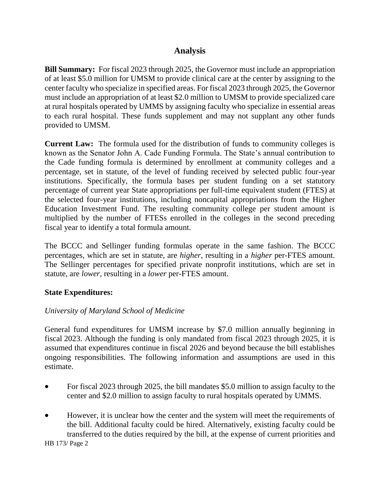# **Analysis**

**Bill Summary:** For fiscal 2023 through 2025, the Governor must include an appropriation of at least \$5.0 million for UMSM to provide clinical care at the center by assigning to the center faculty who specialize in specified areas. For fiscal 2023 through 2025, the Governor must include an appropriation of at least \$2.0 million to UMSM to provide specialized care at rural hospitals operated by UMMS by assigning faculty who specialize in essential areas to each rural hospital. These funds supplement and may not supplant any other funds provided to UMSM.

**Current Law:** The formula used for the distribution of funds to community colleges is known as the Senator John A. Cade Funding Formula. The State's annual contribution to the Cade funding formula is determined by enrollment at community colleges and a percentage, set in statute, of the level of funding received by selected public four-year institutions. Specifically, the formula bases per student funding on a set statutory percentage of current year State appropriations per full-time equivalent student (FTES) at the selected four-year institutions, including noncapital appropriations from the Higher Education Investment Fund. The resulting community college per student amount is multiplied by the number of FTESs enrolled in the colleges in the second preceding fiscal year to identify a total formula amount.

The BCCC and Sellinger funding formulas operate in the same fashion. The BCCC percentages, which are set in statute, are *higher*, resulting in a *higher* per-FTES amount. The Sellinger percentages for specified private nonprofit institutions, which are set in statute, are *lower*, resulting in a *lower* per-FTES amount.

#### **State Expenditures:**

### *University of Maryland School of Medicine*

General fund expenditures for UMSM increase by \$7.0 million annually beginning in fiscal 2023. Although the funding is only mandated from fiscal 2023 through 2025, it is assumed that expenditures continue in fiscal 2026 and beyond because the bill establishes ongoing responsibilities. The following information and assumptions are used in this estimate.

- For fiscal 2023 through 2025, the bill mandates \$5.0 million to assign faculty to the center and \$2.0 million to assign faculty to rural hospitals operated by UMMS.
- However, it is unclear how the center and the system will meet the requirements of the bill. Additional faculty could be hired. Alternatively, existing faculty could be transferred to the duties required by the bill, at the expense of current priorities and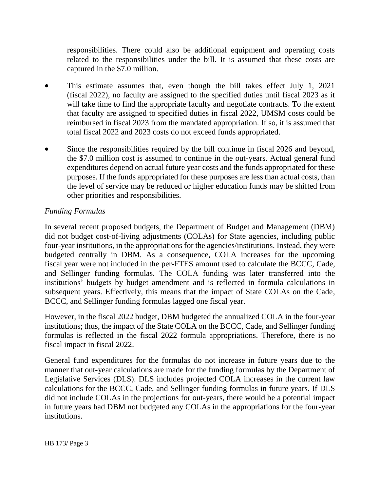responsibilities. There could also be additional equipment and operating costs related to the responsibilities under the bill. It is assumed that these costs are captured in the \$7.0 million.

- This estimate assumes that, even though the bill takes effect July 1, 2021 (fiscal 2022), no faculty are assigned to the specified duties until fiscal 2023 as it will take time to find the appropriate faculty and negotiate contracts. To the extent that faculty are assigned to specified duties in fiscal 2022, UMSM costs could be reimbursed in fiscal 2023 from the mandated appropriation. If so, it is assumed that total fiscal 2022 and 2023 costs do not exceed funds appropriated.
- Since the responsibilities required by the bill continue in fiscal 2026 and beyond, the \$7.0 million cost is assumed to continue in the out-years. Actual general fund expenditures depend on actual future year costs and the funds appropriated for these purposes. If the funds appropriated for these purposes are less than actual costs, than the level of service may be reduced or higher education funds may be shifted from other priorities and responsibilities.

# *Funding Formulas*

In several recent proposed budgets, the Department of Budget and Management (DBM) did not budget cost-of-living adjustments (COLAs) for State agencies, including public four-year institutions, in the appropriations for the agencies/institutions. Instead, they were budgeted centrally in DBM. As a consequence, COLA increases for the upcoming fiscal year were not included in the per-FTES amount used to calculate the BCCC, Cade, and Sellinger funding formulas. The COLA funding was later transferred into the institutions' budgets by budget amendment and is reflected in formula calculations in subsequent years. Effectively, this means that the impact of State COLAs on the Cade, BCCC, and Sellinger funding formulas lagged one fiscal year.

However, in the fiscal 2022 budget, DBM budgeted the annualized COLA in the four-year institutions; thus, the impact of the State COLA on the BCCC, Cade, and Sellinger funding formulas is reflected in the fiscal 2022 formula appropriations. Therefore, there is no fiscal impact in fiscal 2022.

General fund expenditures for the formulas do not increase in future years due to the manner that out-year calculations are made for the funding formulas by the Department of Legislative Services (DLS). DLS includes projected COLA increases in the current law calculations for the BCCC, Cade, and Sellinger funding formulas in future years. If DLS did not include COLAs in the projections for out-years, there would be a potential impact in future years had DBM not budgeted any COLAs in the appropriations for the four-year institutions.